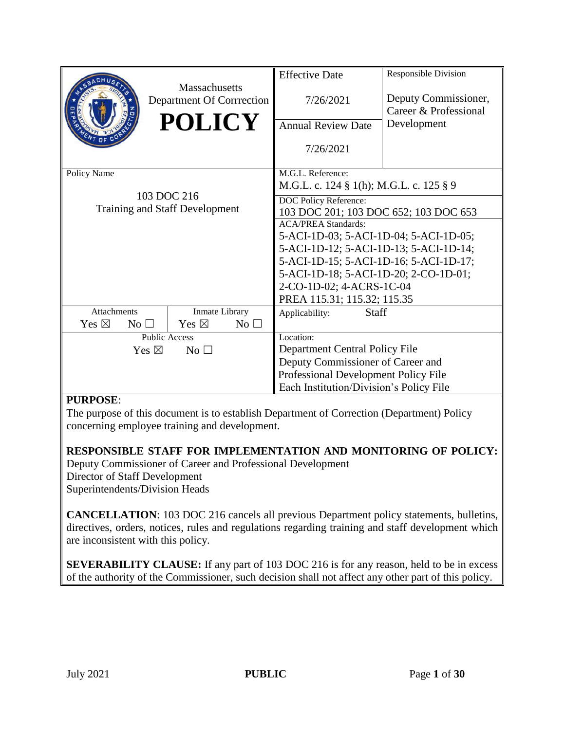|                                    |                                    | <b>Effective Date</b>                   | Responsible Division                   |  |  |
|------------------------------------|------------------------------------|-----------------------------------------|----------------------------------------|--|--|
|                                    | Massachusetts                      |                                         |                                        |  |  |
|                                    | Department Of Corrrection          | 7/26/2021                               | Deputy Commissioner,                   |  |  |
|                                    |                                    |                                         | Career & Professional                  |  |  |
|                                    | <b>POLICY</b>                      | <b>Annual Review Date</b>               | Development                            |  |  |
|                                    |                                    |                                         |                                        |  |  |
|                                    |                                    | 7/26/2021                               |                                        |  |  |
|                                    |                                    |                                         |                                        |  |  |
| Policy Name                        |                                    | M.G.L. Reference:                       |                                        |  |  |
|                                    |                                    | M.G.L. c. 124 § 1(h); M.G.L. c. 125 § 9 |                                        |  |  |
|                                    | 103 DOC 216                        | DOC Policy Reference:                   |                                        |  |  |
|                                    | Training and Staff Development     | 103 DOC 201; 103 DOC 652; 103 DOC 653   |                                        |  |  |
|                                    |                                    | <b>ACA/PREA Standards:</b>              |                                        |  |  |
|                                    |                                    |                                         | 5-ACI-1D-03; 5-ACI-1D-04; 5-ACI-1D-05; |  |  |
|                                    |                                    | 5-ACI-1D-12; 5-ACI-1D-13; 5-ACI-1D-14;  |                                        |  |  |
|                                    |                                    | 5-ACI-1D-15; 5-ACI-1D-16; 5-ACI-1D-17;  |                                        |  |  |
|                                    |                                    | 5-ACI-1D-18; 5-ACI-1D-20; 2-CO-1D-01;   |                                        |  |  |
|                                    |                                    | 2-CO-1D-02; 4-ACRS-1C-04                |                                        |  |  |
|                                    |                                    | PREA 115.31; 115.32; 115.35             |                                        |  |  |
| Attachments                        | Inmate Library                     | Staff<br>Applicability:                 |                                        |  |  |
| Yes $\boxtimes$<br>No <sub>1</sub> | Yes $\boxtimes$<br>No <sub>1</sub> |                                         |                                        |  |  |
| <b>Public Access</b>               |                                    | Location:                               |                                        |  |  |
| Yes $\boxtimes$<br>$No$ $\square$  |                                    |                                         | Department Central Policy File         |  |  |
|                                    | Deputy Commissioner of Career and  |                                         |                                        |  |  |
|                                    |                                    | Professional Development Policy File    |                                        |  |  |
|                                    |                                    | Each Institution/Division's Policy File |                                        |  |  |

#### **PURPOSE**:

The purpose of this document is to establish Department of Correction (Department) Policy concerning employee training and development.

**RESPONSIBLE STAFF FOR IMPLEMENTATION AND MONITORING OF POLICY:** 

Deputy Commissioner of Career and Professional Development Director of Staff Development Superintendents/Division Heads

**CANCELLATION**: 103 DOC 216 cancels all previous Department policy statements, bulletins, directives, orders, notices, rules and regulations regarding training and staff development which are inconsistent with this policy.

**SEVERABILITY CLAUSE:** If any part of 103 DOC 216 is for any reason, held to be in excess of the authority of the Commissioner, such decision shall not affect any other part of this policy.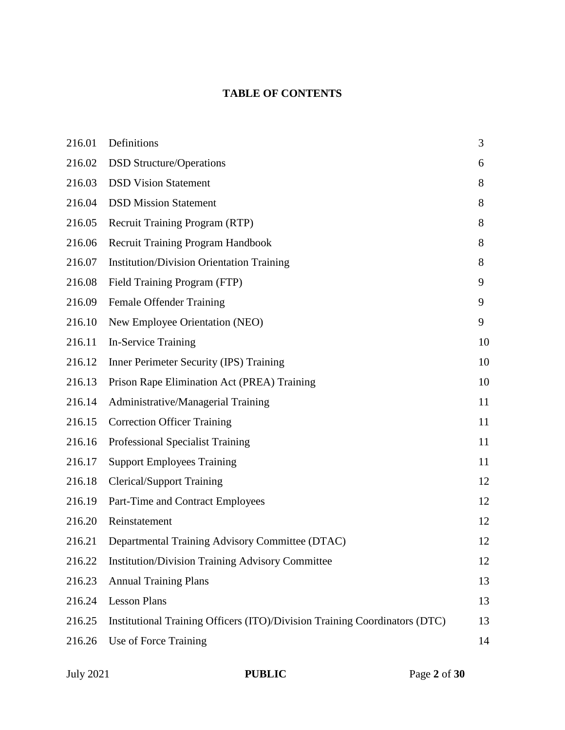# **TABLE OF CONTENTS**

| 216.01 | Definitions                                                                | 3  |
|--------|----------------------------------------------------------------------------|----|
| 216.02 | <b>DSD Structure/Operations</b>                                            | 6  |
| 216.03 | <b>DSD Vision Statement</b>                                                | 8  |
| 216.04 | <b>DSD Mission Statement</b>                                               | 8  |
| 216.05 | Recruit Training Program (RTP)                                             | 8  |
| 216.06 | <b>Recruit Training Program Handbook</b>                                   | 8  |
| 216.07 | <b>Institution/Division Orientation Training</b>                           | 8  |
| 216.08 | Field Training Program (FTP)                                               | 9  |
| 216.09 | Female Offender Training                                                   | 9  |
| 216.10 | New Employee Orientation (NEO)                                             | 9  |
| 216.11 | In-Service Training                                                        | 10 |
| 216.12 | Inner Perimeter Security (IPS) Training                                    | 10 |
| 216.13 | Prison Rape Elimination Act (PREA) Training                                | 10 |
| 216.14 | Administrative/Managerial Training                                         | 11 |
| 216.15 | <b>Correction Officer Training</b>                                         | 11 |
| 216.16 | Professional Specialist Training                                           | 11 |
| 216.17 | <b>Support Employees Training</b>                                          | 11 |
| 216.18 | <b>Clerical/Support Training</b>                                           | 12 |
| 216.19 | Part-Time and Contract Employees                                           | 12 |
| 216.20 | Reinstatement                                                              | 12 |
| 216.21 | Departmental Training Advisory Committee (DTAC)                            | 12 |
| 216.22 | <b>Institution/Division Training Advisory Committee</b>                    | 12 |
| 216.23 | <b>Annual Training Plans</b>                                               | 13 |
| 216.24 | <b>Lesson Plans</b>                                                        | 13 |
| 216.25 | Institutional Training Officers (ITO)/Division Training Coordinators (DTC) | 13 |
| 216.26 | Use of Force Training                                                      | 14 |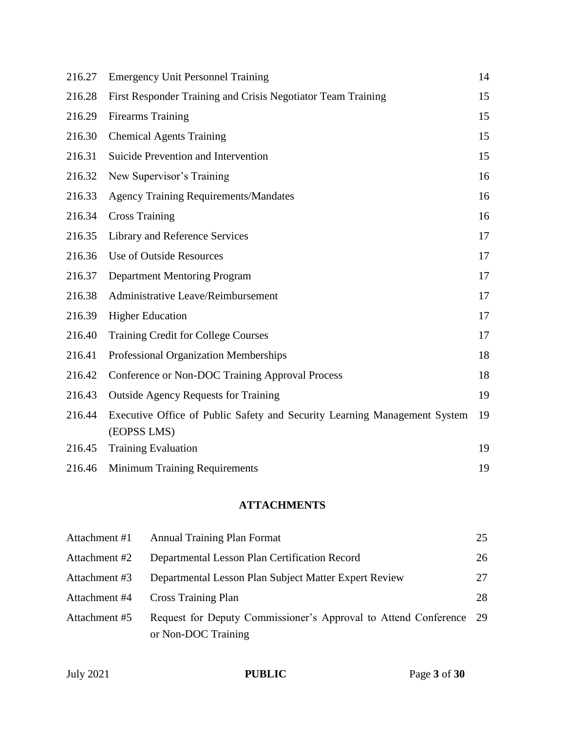| 216.27 | <b>Emergency Unit Personnel Training</b>                                                 | 14 |
|--------|------------------------------------------------------------------------------------------|----|
| 216.28 | First Responder Training and Crisis Negotiator Team Training                             | 15 |
| 216.29 | <b>Firearms Training</b>                                                                 | 15 |
| 216.30 | <b>Chemical Agents Training</b>                                                          | 15 |
| 216.31 | Suicide Prevention and Intervention                                                      | 15 |
| 216.32 | New Supervisor's Training                                                                | 16 |
| 216.33 | <b>Agency Training Requirements/Mandates</b>                                             | 16 |
| 216.34 | <b>Cross Training</b>                                                                    | 16 |
| 216.35 | Library and Reference Services                                                           | 17 |
| 216.36 | <b>Use of Outside Resources</b>                                                          | 17 |
| 216.37 | <b>Department Mentoring Program</b>                                                      | 17 |
| 216.38 | Administrative Leave/Reimbursement                                                       | 17 |
| 216.39 | <b>Higher Education</b>                                                                  | 17 |
| 216.40 | <b>Training Credit for College Courses</b>                                               | 17 |
| 216.41 | Professional Organization Memberships                                                    | 18 |
| 216.42 | Conference or Non-DOC Training Approval Process                                          | 18 |
| 216.43 | <b>Outside Agency Requests for Training</b>                                              | 19 |
| 216.44 | Executive Office of Public Safety and Security Learning Management System<br>(EOPSS LMS) | 19 |
| 216.45 | <b>Training Evaluation</b>                                                               | 19 |
| 216.46 | <b>Minimum Training Requirements</b>                                                     | 19 |

# **ATTACHMENTS**

| Attachment #1 | <b>Annual Training Plan Format</b>                                                        | 25 |
|---------------|-------------------------------------------------------------------------------------------|----|
| Attachment #2 | Departmental Lesson Plan Certification Record                                             | 26 |
| Attachment #3 | Departmental Lesson Plan Subject Matter Expert Review                                     | 27 |
| Attachment #4 | <b>Cross Training Plan</b>                                                                | 28 |
| Attachment #5 | Request for Deputy Commissioner's Approval to Attend Conference 29<br>or Non-DOC Training |    |
|               |                                                                                           |    |

| <b>PUBLIC</b> | Page 3 of 30 |
|---------------|--------------|
|               |              |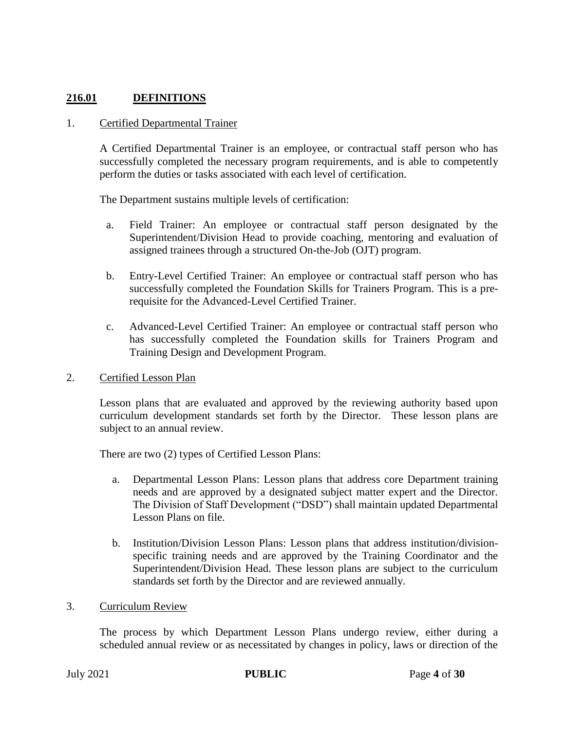#### **216.01 DEFINITIONS**

#### 1. Certified Departmental Trainer

A Certified Departmental Trainer is an employee, or contractual staff person who has successfully completed the necessary program requirements, and is able to competently perform the duties or tasks associated with each level of certification.

The Department sustains multiple levels of certification:

- a. Field Trainer: An employee or contractual staff person designated by the Superintendent/Division Head to provide coaching, mentoring and evaluation of assigned trainees through a structured On-the-Job (OJT) program.
- b. Entry-Level Certified Trainer: An employee or contractual staff person who has successfully completed the Foundation Skills for Trainers Program. This is a prerequisite for the Advanced-Level Certified Trainer.
- c. Advanced-Level Certified Trainer: An employee or contractual staff person who has successfully completed the Foundation skills for Trainers Program and Training Design and Development Program.
- 2. Certified Lesson Plan

Lesson plans that are evaluated and approved by the reviewing authority based upon curriculum development standards set forth by the Director. These lesson plans are subject to an annual review.

There are two (2) types of Certified Lesson Plans:

- a. Departmental Lesson Plans: Lesson plans that address core Department training needs and are approved by a designated subject matter expert and the Director. The Division of Staff Development ("DSD") shall maintain updated Departmental Lesson Plans on file.
- b. Institution/Division Lesson Plans: Lesson plans that address institution/divisionspecific training needs and are approved by the Training Coordinator and the Superintendent/Division Head. These lesson plans are subject to the curriculum standards set forth by the Director and are reviewed annually.
- 3. Curriculum Review

The process by which Department Lesson Plans undergo review, either during a scheduled annual review or as necessitated by changes in policy, laws or direction of the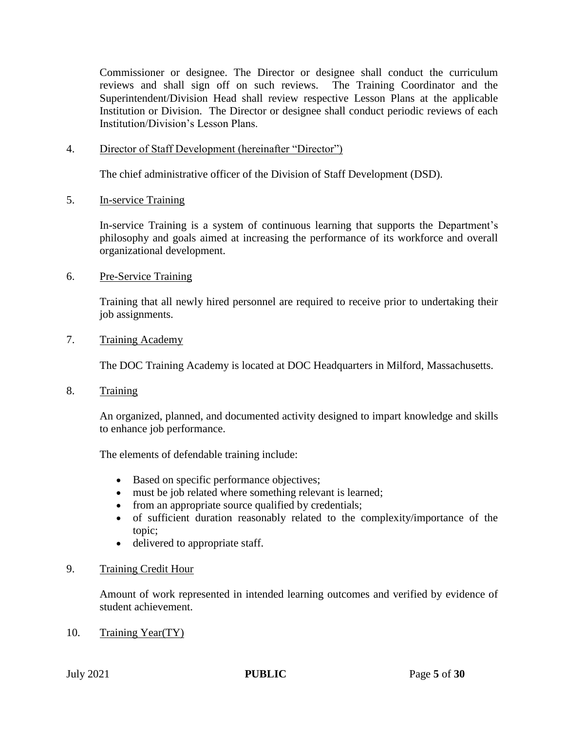Commissioner or designee. The Director or designee shall conduct the curriculum reviews and shall sign off on such reviews. The Training Coordinator and the Superintendent/Division Head shall review respective Lesson Plans at the applicable Institution or Division. The Director or designee shall conduct periodic reviews of each Institution/Division's Lesson Plans.

4. Director of Staff Development (hereinafter "Director")

The chief administrative officer of the Division of Staff Development (DSD).

5. In-service Training

In-service Training is a system of continuous learning that supports the Department's philosophy and goals aimed at increasing the performance of its workforce and overall organizational development.

6. Pre-Service Training

Training that all newly hired personnel are required to receive prior to undertaking their job assignments.

7. Training Academy

The DOC Training Academy is located at DOC Headquarters in Milford, Massachusetts.

8. Training

An organized, planned, and documented activity designed to impart knowledge and skills to enhance job performance.

The elements of defendable training include:

- Based on specific performance objectives;
- must be job related where something relevant is learned;
- from an appropriate source qualified by credentials;
- of sufficient duration reasonably related to the complexity/importance of the topic;
- delivered to appropriate staff.

#### 9. Training Credit Hour

Amount of work represented in intended learning outcomes and verified by evidence of student achievement.

10. Training Year(TY)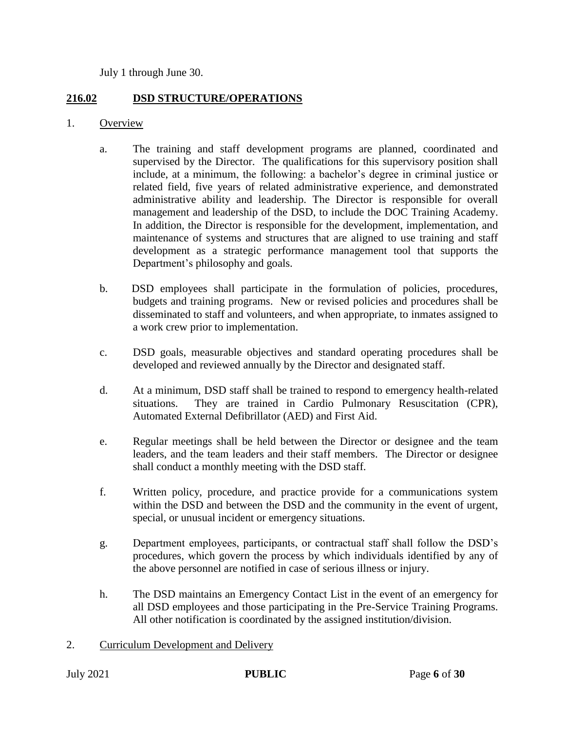July 1 through June 30.

#### **216.02 DSD STRUCTURE/OPERATIONS**

- 1. Overview
	- a. The training and staff development programs are planned, coordinated and supervised by the Director. The qualifications for this supervisory position shall include, at a minimum, the following: a bachelor's degree in criminal justice or related field, five years of related administrative experience, and demonstrated administrative ability and leadership. The Director is responsible for overall management and leadership of the DSD, to include the DOC Training Academy. In addition, the Director is responsible for the development, implementation, and maintenance of systems and structures that are aligned to use training and staff development as a strategic performance management tool that supports the Department's philosophy and goals.
	- b. DSD employees shall participate in the formulation of policies, procedures, budgets and training programs. New or revised policies and procedures shall be disseminated to staff and volunteers, and when appropriate, to inmates assigned to a work crew prior to implementation.
	- c. DSD goals, measurable objectives and standard operating procedures shall be developed and reviewed annually by the Director and designated staff.
	- d. At a minimum, DSD staff shall be trained to respond to emergency health-related situations. They are trained in Cardio Pulmonary Resuscitation (CPR), Automated External Defibrillator (AED) and First Aid.
	- e. Regular meetings shall be held between the Director or designee and the team leaders, and the team leaders and their staff members. The Director or designee shall conduct a monthly meeting with the DSD staff.
	- f. Written policy, procedure, and practice provide for a communications system within the DSD and between the DSD and the community in the event of urgent, special, or unusual incident or emergency situations.
	- g. Department employees, participants, or contractual staff shall follow the DSD's procedures, which govern the process by which individuals identified by any of the above personnel are notified in case of serious illness or injury.
	- h. The DSD maintains an Emergency Contact List in the event of an emergency for all DSD employees and those participating in the Pre-Service Training Programs. All other notification is coordinated by the assigned institution/division.
- 2. Curriculum Development and Delivery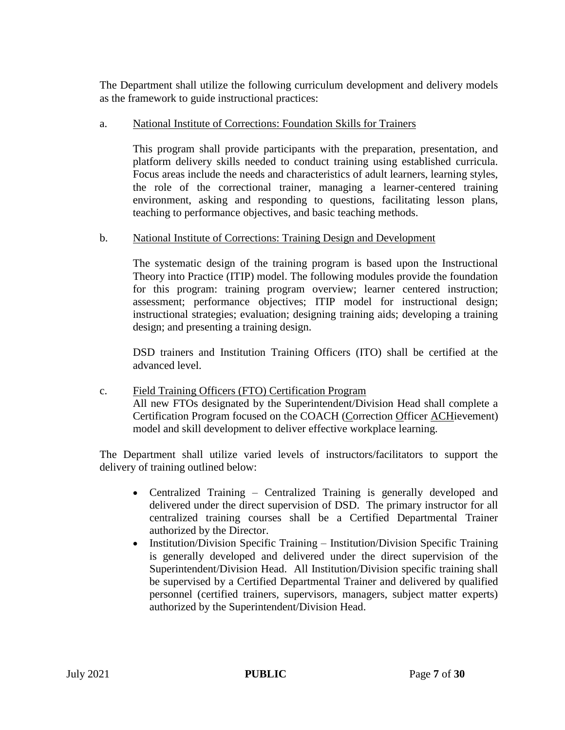The Department shall utilize the following curriculum development and delivery models as the framework to guide instructional practices:

#### a. National Institute of Corrections: Foundation Skills for Trainers

This program shall provide participants with the preparation, presentation, and platform delivery skills needed to conduct training using established curricula. Focus areas include the needs and characteristics of adult learners, learning styles, the role of the correctional trainer, managing a learner-centered training environment, asking and responding to questions, facilitating lesson plans, teaching to performance objectives, and basic teaching methods.

#### b. National Institute of Corrections: Training Design and Development

The systematic design of the training program is based upon the Instructional Theory into Practice (ITIP) model. The following modules provide the foundation for this program: training program overview; learner centered instruction; assessment; performance objectives; ITIP model for instructional design; instructional strategies; evaluation; designing training aids; developing a training design; and presenting a training design.

DSD trainers and Institution Training Officers (ITO) shall be certified at the advanced level.

c. Field Training Officers (FTO) Certification Program All new FTOs designated by the Superintendent/Division Head shall complete a Certification Program focused on the COACH (Correction Officer ACHievement) model and skill development to deliver effective workplace learning.

The Department shall utilize varied levels of instructors/facilitators to support the delivery of training outlined below:

- Centralized Training Centralized Training is generally developed and delivered under the direct supervision of DSD. The primary instructor for all centralized training courses shall be a Certified Departmental Trainer authorized by the Director.
- Institution/Division Specific Training Institution/Division Specific Training is generally developed and delivered under the direct supervision of the Superintendent/Division Head. All Institution/Division specific training shall be supervised by a Certified Departmental Trainer and delivered by qualified personnel (certified trainers, supervisors, managers, subject matter experts) authorized by the Superintendent/Division Head.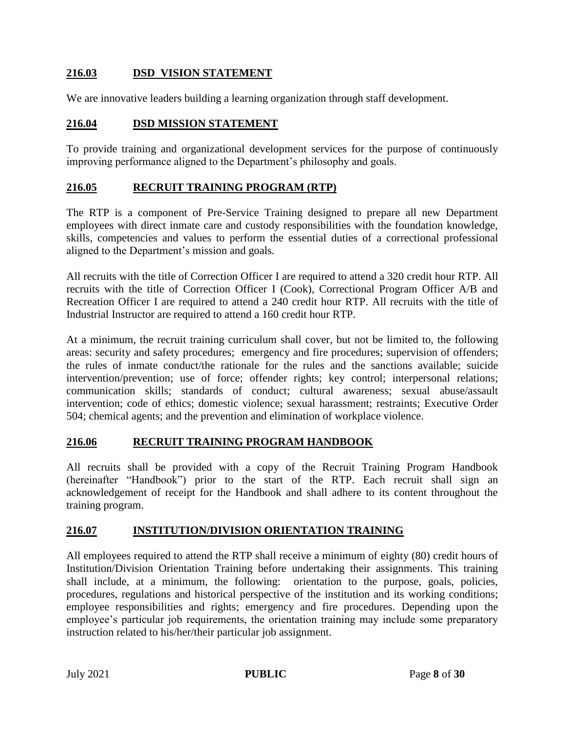### **216.03 DSD VISION STATEMENT**

We are innovative leaders building a learning organization through staff development.

#### **216.04 DSD MISSION STATEMENT**

To provide training and organizational development services for the purpose of continuously improving performance aligned to the Department's philosophy and goals.

#### **216.05 RECRUIT TRAINING PROGRAM (RTP)**

The RTP is a component of Pre-Service Training designed to prepare all new Department employees with direct inmate care and custody responsibilities with the foundation knowledge, skills, competencies and values to perform the essential duties of a correctional professional aligned to the Department's mission and goals.

All recruits with the title of Correction Officer I are required to attend a 320 credit hour RTP. All recruits with the title of Correction Officer I (Cook), Correctional Program Officer A/B and Recreation Officer I are required to attend a 240 credit hour RTP. All recruits with the title of Industrial Instructor are required to attend a 160 credit hour RTP.

At a minimum, the recruit training curriculum shall cover, but not be limited to, the following areas: security and safety procedures; emergency and fire procedures; supervision of offenders; the rules of inmate conduct/the rationale for the rules and the sanctions available; suicide intervention/prevention; use of force; offender rights; key control; interpersonal relations; communication skills; standards of conduct; cultural awareness; sexual abuse/assault intervention; code of ethics; domestic violence; sexual harassment; restraints; Executive Order 504; chemical agents; and the prevention and elimination of workplace violence.

#### **216.06 RECRUIT TRAINING PROGRAM HANDBOOK**

All recruits shall be provided with a copy of the Recruit Training Program Handbook (hereinafter "Handbook") prior to the start of the RTP. Each recruit shall sign an acknowledgement of receipt for the Handbook and shall adhere to its content throughout the training program.

#### **216.07 INSTITUTION/DIVISION ORIENTATION TRAINING**

All employees required to attend the RTP shall receive a minimum of eighty (80) credit hours of Institution/Division Orientation Training before undertaking their assignments. This training shall include, at a minimum, the following: orientation to the purpose, goals, policies, procedures, regulations and historical perspective of the institution and its working conditions; employee responsibilities and rights; emergency and fire procedures. Depending upon the employee's particular job requirements, the orientation training may include some preparatory instruction related to his/her/their particular job assignment.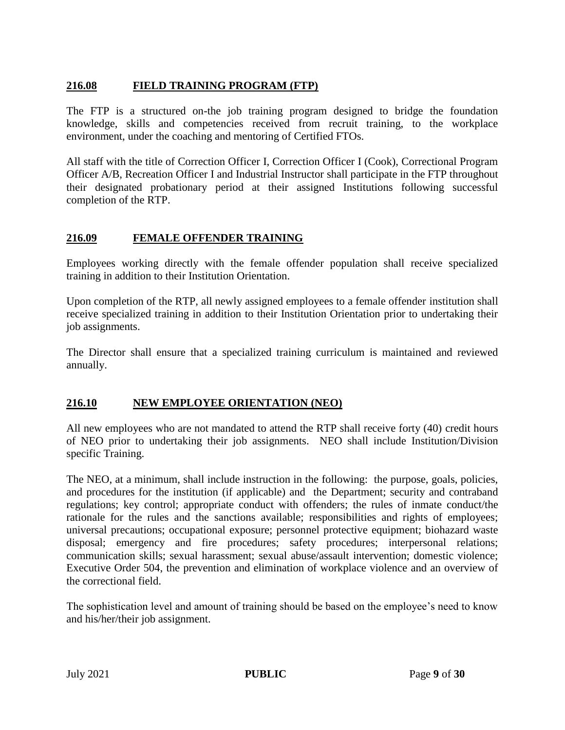## **216.08 FIELD TRAINING PROGRAM (FTP)**

The FTP is a structured on-the job training program designed to bridge the foundation knowledge, skills and competencies received from recruit training, to the workplace environment, under the coaching and mentoring of Certified FTOs.

All staff with the title of Correction Officer I, Correction Officer I (Cook), Correctional Program Officer A/B, Recreation Officer I and Industrial Instructor shall participate in the FTP throughout their designated probationary period at their assigned Institutions following successful completion of the RTP.

#### **216.09 FEMALE OFFENDER TRAINING**

Employees working directly with the female offender population shall receive specialized training in addition to their Institution Orientation.

Upon completion of the RTP, all newly assigned employees to a female offender institution shall receive specialized training in addition to their Institution Orientation prior to undertaking their job assignments.

The Director shall ensure that a specialized training curriculum is maintained and reviewed annually.

#### **216.10 NEW EMPLOYEE ORIENTATION (NEO)**

All new employees who are not mandated to attend the RTP shall receive forty (40) credit hours of NEO prior to undertaking their job assignments. NEO shall include Institution/Division specific Training.

The NEO, at a minimum, shall include instruction in the following: the purpose, goals, policies, and procedures for the institution (if applicable) and the Department; security and contraband regulations; key control; appropriate conduct with offenders; the rules of inmate conduct/the rationale for the rules and the sanctions available; responsibilities and rights of employees; universal precautions; occupational exposure; personnel protective equipment; biohazard waste disposal; emergency and fire procedures; safety procedures; interpersonal relations; communication skills; sexual harassment; sexual abuse/assault intervention; domestic violence; Executive Order 504, the prevention and elimination of workplace violence and an overview of the correctional field.

The sophistication level and amount of training should be based on the employee's need to know and his/her/their job assignment.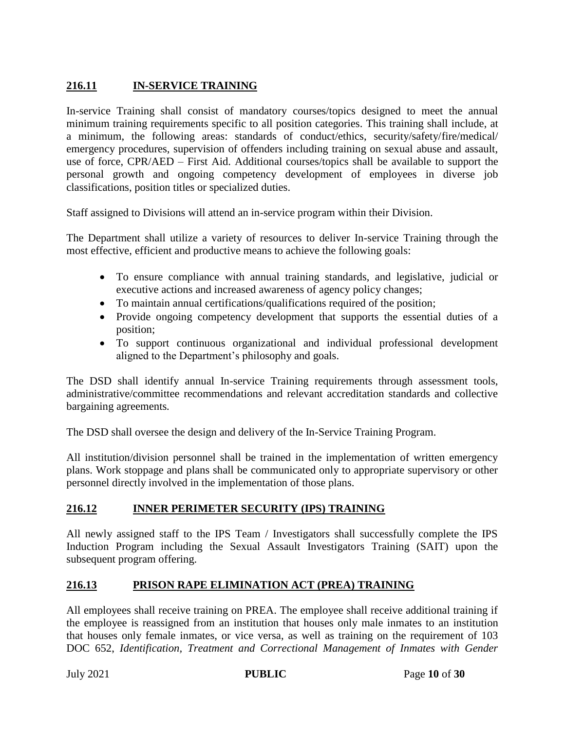# **216.11 IN-SERVICE TRAINING**

In-service Training shall consist of mandatory courses/topics designed to meet the annual minimum training requirements specific to all position categories. This training shall include, at a minimum, the following areas: standards of conduct/ethics, security/safety/fire/medical/ emergency procedures, supervision of offenders including training on sexual abuse and assault, use of force, CPR/AED – First Aid. Additional courses/topics shall be available to support the personal growth and ongoing competency development of employees in diverse job classifications, position titles or specialized duties.

Staff assigned to Divisions will attend an in-service program within their Division.

The Department shall utilize a variety of resources to deliver In-service Training through the most effective, efficient and productive means to achieve the following goals:

- To ensure compliance with annual training standards, and legislative, judicial or executive actions and increased awareness of agency policy changes;
- To maintain annual certifications/qualifications required of the position;
- Provide ongoing competency development that supports the essential duties of a position;
- To support continuous organizational and individual professional development aligned to the Department's philosophy and goals.

The DSD shall identify annual In-service Training requirements through assessment tools, administrative/committee recommendations and relevant accreditation standards and collective bargaining agreements*.*

The DSD shall oversee the design and delivery of the In-Service Training Program.

All institution/division personnel shall be trained in the implementation of written emergency plans. Work stoppage and plans shall be communicated only to appropriate supervisory or other personnel directly involved in the implementation of those plans.

#### **216.12 INNER PERIMETER SECURITY (IPS) TRAINING**

All newly assigned staff to the IPS Team / Investigators shall successfully complete the IPS Induction Program including the Sexual Assault Investigators Training (SAIT) upon the subsequent program offering.

#### **216.13 PRISON RAPE ELIMINATION ACT (PREA) TRAINING**

All employees shall receive training on PREA. The employee shall receive additional training if the employee is reassigned from an institution that houses only male inmates to an institution that houses only female inmates, or vice versa, as well as training on the requirement of 103 DOC 652, *Identification, Treatment and Correctional Management of Inmates with Gender*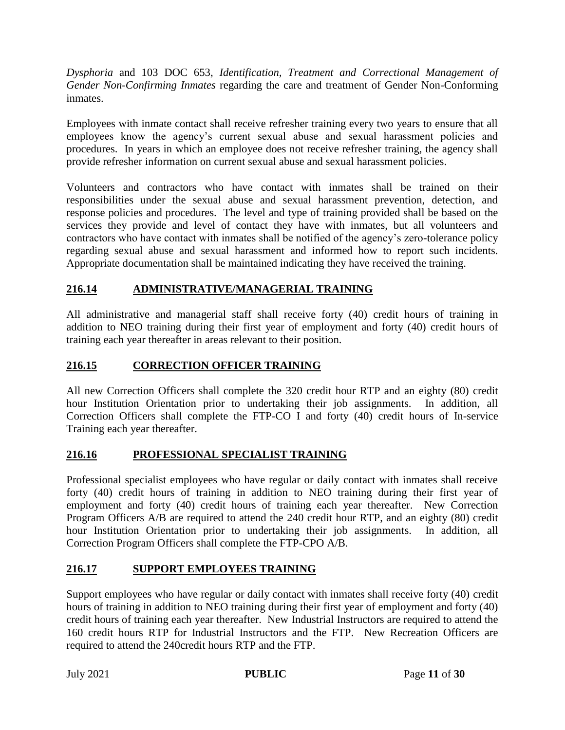*Dysphoria* and 103 DOC 653, *Identification, Treatment and Correctional Management of Gender Non-Confirming Inmates* regarding the care and treatment of Gender Non-Conforming inmates.

Employees with inmate contact shall receive refresher training every two years to ensure that all employees know the agency's current sexual abuse and sexual harassment policies and procedures. In years in which an employee does not receive refresher training, the agency shall provide refresher information on current sexual abuse and sexual harassment policies.

Volunteers and contractors who have contact with inmates shall be trained on their responsibilities under the sexual abuse and sexual harassment prevention, detection, and response policies and procedures. The level and type of training provided shall be based on the services they provide and level of contact they have with inmates, but all volunteers and contractors who have contact with inmates shall be notified of the agency's zero-tolerance policy regarding sexual abuse and sexual harassment and informed how to report such incidents. Appropriate documentation shall be maintained indicating they have received the training.

# **216.14 ADMINISTRATIVE/MANAGERIAL TRAINING**

All administrative and managerial staff shall receive forty (40) credit hours of training in addition to NEO training during their first year of employment and forty (40) credit hours of training each year thereafter in areas relevant to their position.

# **216.15 CORRECTION OFFICER TRAINING**

All new Correction Officers shall complete the 320 credit hour RTP and an eighty (80) credit hour Institution Orientation prior to undertaking their job assignments. In addition, all Correction Officers shall complete the FTP-CO I and forty (40) credit hours of In-service Training each year thereafter.

## **216.16 PROFESSIONAL SPECIALIST TRAINING**

Professional specialist employees who have regular or daily contact with inmates shall receive forty (40) credit hours of training in addition to NEO training during their first year of employment and forty (40) credit hours of training each year thereafter. New Correction Program Officers A/B are required to attend the 240 credit hour RTP, and an eighty (80) credit hour Institution Orientation prior to undertaking their job assignments. In addition, all Correction Program Officers shall complete the FTP-CPO A/B.

## **216.17 SUPPORT EMPLOYEES TRAINING**

Support employees who have regular or daily contact with inmates shall receive forty (40) credit hours of training in addition to NEO training during their first year of employment and forty (40) credit hours of training each year thereafter. New Industrial Instructors are required to attend the 160 credit hours RTP for Industrial Instructors and the FTP. New Recreation Officers are required to attend the 240credit hours RTP and the FTP.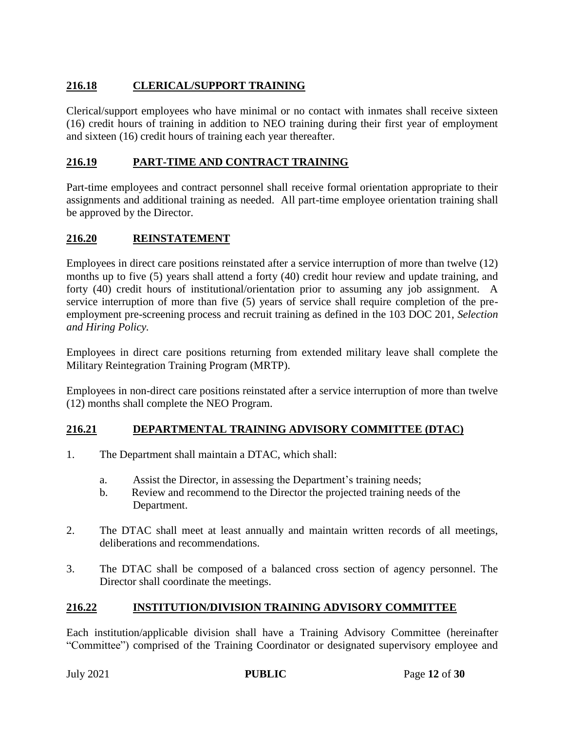# **216.18 CLERICAL/SUPPORT TRAINING**

Clerical/support employees who have minimal or no contact with inmates shall receive sixteen (16) credit hours of training in addition to NEO training during their first year of employment and sixteen (16) credit hours of training each year thereafter.

# **216.19 PART-TIME AND CONTRACT TRAINING**

Part-time employees and contract personnel shall receive formal orientation appropriate to their assignments and additional training as needed. All part-time employee orientation training shall be approved by the Director.

# **216.20 REINSTATEMENT**

Employees in direct care positions reinstated after a service interruption of more than twelve (12) months up to five (5) years shall attend a forty (40) credit hour review and update training, and forty (40) credit hours of institutional/orientation prior to assuming any job assignment. A service interruption of more than five (5) years of service shall require completion of the preemployment pre-screening process and recruit training as defined in the 103 DOC 201, *Selection and Hiring Policy.*

Employees in direct care positions returning from extended military leave shall complete the Military Reintegration Training Program (MRTP).

Employees in non-direct care positions reinstated after a service interruption of more than twelve (12) months shall complete the NEO Program.

## **216.21 DEPARTMENTAL TRAINING ADVISORY COMMITTEE (DTAC)**

- 1. The Department shall maintain a DTAC, which shall:
	- a. Assist the Director, in assessing the Department's training needs;
	- b. Review and recommend to the Director the projected training needs of the Department.
- 2. The DTAC shall meet at least annually and maintain written records of all meetings, deliberations and recommendations.
- 3. The DTAC shall be composed of a balanced cross section of agency personnel. The Director shall coordinate the meetings.

## **216.22 INSTITUTION/DIVISION TRAINING ADVISORY COMMITTEE**

Each institution/applicable division shall have a Training Advisory Committee (hereinafter "Committee") comprised of the Training Coordinator or designated supervisory employee and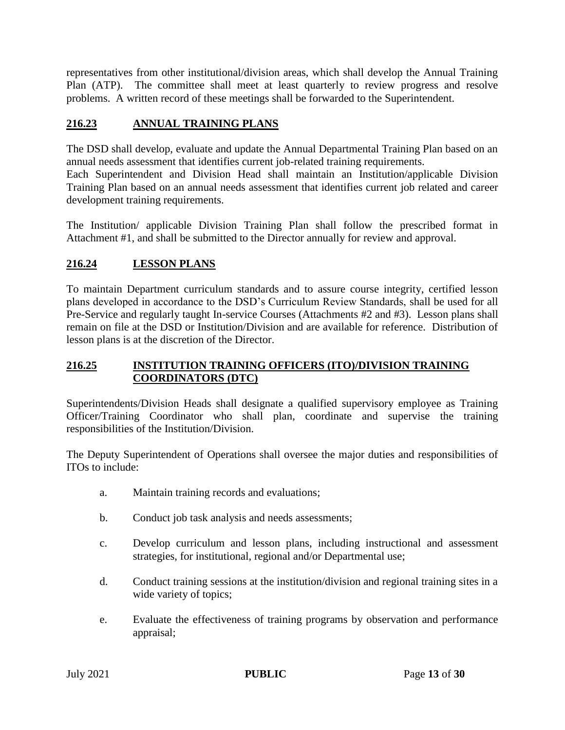representatives from other institutional/division areas, which shall develop the Annual Training Plan (ATP). The committee shall meet at least quarterly to review progress and resolve problems. A written record of these meetings shall be forwarded to the Superintendent.

## **216.23 ANNUAL TRAINING PLANS**

The DSD shall develop, evaluate and update the Annual Departmental Training Plan based on an annual needs assessment that identifies current job-related training requirements.

Each Superintendent and Division Head shall maintain an Institution/applicable Division Training Plan based on an annual needs assessment that identifies current job related and career development training requirements.

The Institution/ applicable Division Training Plan shall follow the prescribed format in Attachment #1, and shall be submitted to the Director annually for review and approval.

# **216.24 LESSON PLANS**

To maintain Department curriculum standards and to assure course integrity, certified lesson plans developed in accordance to the DSD's Curriculum Review Standards, shall be used for all Pre-Service and regularly taught In-service Courses (Attachments #2 and #3). Lesson plans shall remain on file at the DSD or Institution/Division and are available for reference. Distribution of lesson plans is at the discretion of the Director.

#### **216.25 INSTITUTION TRAINING OFFICERS (ITO)/DIVISION TRAINING COORDINATORS (DTC)**

Superintendents/Division Heads shall designate a qualified supervisory employee as Training Officer/Training Coordinator who shall plan, coordinate and supervise the training responsibilities of the Institution/Division.

The Deputy Superintendent of Operations shall oversee the major duties and responsibilities of ITOs to include:

- a. Maintain training records and evaluations;
- b. Conduct job task analysis and needs assessments;
- c. Develop curriculum and lesson plans, including instructional and assessment strategies, for institutional, regional and/or Departmental use;
- d. Conduct training sessions at the institution/division and regional training sites in a wide variety of topics;
- e. Evaluate the effectiveness of training programs by observation and performance appraisal;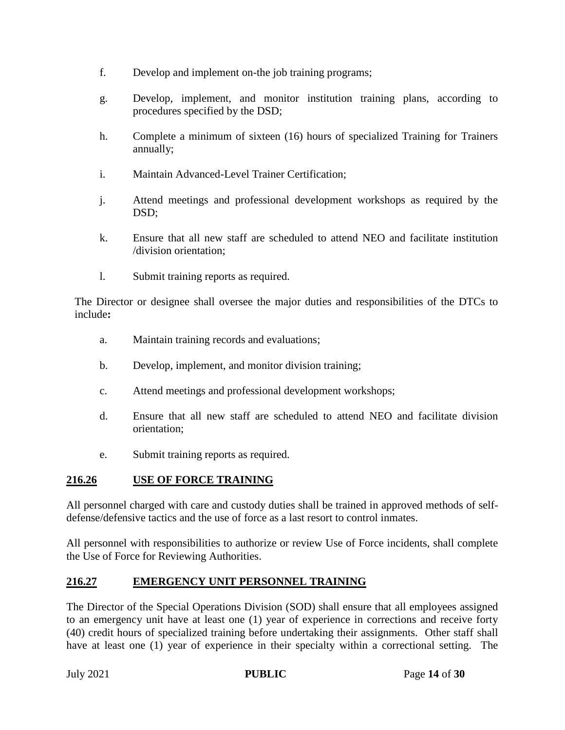- f. Develop and implement on-the job training programs;
- g. Develop, implement, and monitor institution training plans, according to procedures specified by the DSD;
- h. Complete a minimum of sixteen (16) hours of specialized Training for Trainers annually;
- i. Maintain Advanced-Level Trainer Certification;
- j. Attend meetings and professional development workshops as required by the DSD;
- k. Ensure that all new staff are scheduled to attend NEO and facilitate institution /division orientation;
- l. Submit training reports as required.

The Director or designee shall oversee the major duties and responsibilities of the DTCs to include**:**

- a. Maintain training records and evaluations;
- b. Develop, implement, and monitor division training;
- c. Attend meetings and professional development workshops;
- d. Ensure that all new staff are scheduled to attend NEO and facilitate division orientation;
- e. Submit training reports as required.

#### **216.26 USE OF FORCE TRAINING**

All personnel charged with care and custody duties shall be trained in approved methods of selfdefense/defensive tactics and the use of force as a last resort to control inmates.

All personnel with responsibilities to authorize or review Use of Force incidents, shall complete the Use of Force for Reviewing Authorities.

## **216.27 EMERGENCY UNIT PERSONNEL TRAINING**

The Director of the Special Operations Division (SOD) shall ensure that all employees assigned to an emergency unit have at least one (1) year of experience in corrections and receive forty (40) credit hours of specialized training before undertaking their assignments. Other staff shall have at least one (1) year of experience in their specialty within a correctional setting. The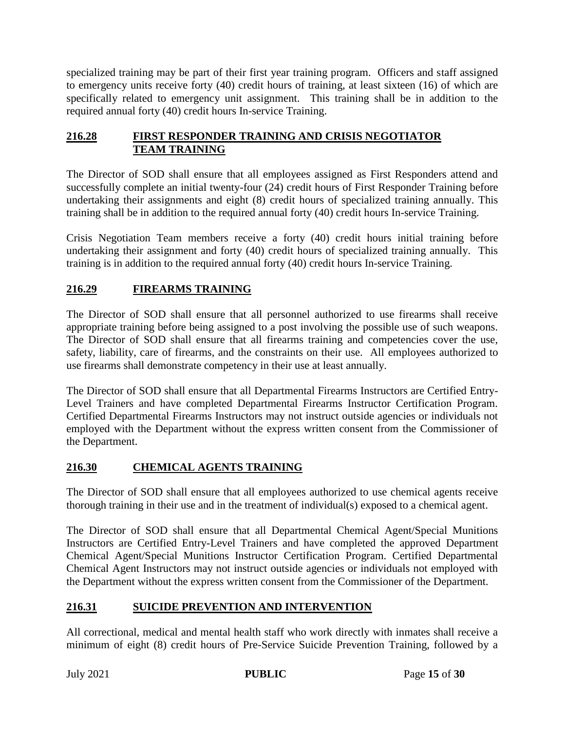specialized training may be part of their first year training program. Officers and staff assigned to emergency units receive forty (40) credit hours of training, at least sixteen (16) of which are specifically related to emergency unit assignment. This training shall be in addition to the required annual forty (40) credit hours In-service Training.

## **216.28 FIRST RESPONDER TRAINING AND CRISIS NEGOTIATOR TEAM TRAINING**

The Director of SOD shall ensure that all employees assigned as First Responders attend and successfully complete an initial twenty-four (24) credit hours of First Responder Training before undertaking their assignments and eight (8) credit hours of specialized training annually. This training shall be in addition to the required annual forty (40) credit hours In-service Training.

Crisis Negotiation Team members receive a forty (40) credit hours initial training before undertaking their assignment and forty (40) credit hours of specialized training annually. This training is in addition to the required annual forty (40) credit hours In-service Training.

# **216.29 FIREARMS TRAINING**

The Director of SOD shall ensure that all personnel authorized to use firearms shall receive appropriate training before being assigned to a post involving the possible use of such weapons. The Director of SOD shall ensure that all firearms training and competencies cover the use, safety, liability, care of firearms, and the constraints on their use. All employees authorized to use firearms shall demonstrate competency in their use at least annually.

The Director of SOD shall ensure that all Departmental Firearms Instructors are Certified Entry-Level Trainers and have completed Departmental Firearms Instructor Certification Program. Certified Departmental Firearms Instructors may not instruct outside agencies or individuals not employed with the Department without the express written consent from the Commissioner of the Department.

## **216.30 CHEMICAL AGENTS TRAINING**

The Director of SOD shall ensure that all employees authorized to use chemical agents receive thorough training in their use and in the treatment of individual(s) exposed to a chemical agent.

The Director of SOD shall ensure that all Departmental Chemical Agent/Special Munitions Instructors are Certified Entry-Level Trainers and have completed the approved Department Chemical Agent/Special Munitions Instructor Certification Program. Certified Departmental Chemical Agent Instructors may not instruct outside agencies or individuals not employed with the Department without the express written consent from the Commissioner of the Department.

# **216.31 SUICIDE PREVENTION AND INTERVENTION**

All correctional, medical and mental health staff who work directly with inmates shall receive a minimum of eight (8) credit hours of Pre-Service Suicide Prevention Training, followed by a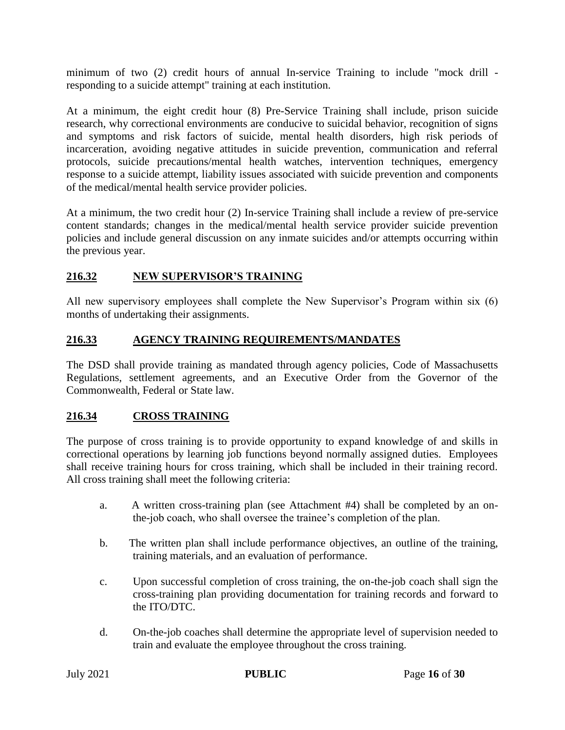minimum of two (2) credit hours of annual In-service Training to include "mock drill responding to a suicide attempt" training at each institution.

At a minimum, the eight credit hour (8) Pre-Service Training shall include, prison suicide research, why correctional environments are conducive to suicidal behavior, recognition of signs and symptoms and risk factors of suicide, mental health disorders, high risk periods of incarceration, avoiding negative attitudes in suicide prevention, communication and referral protocols, suicide precautions/mental health watches, intervention techniques, emergency response to a suicide attempt, liability issues associated with suicide prevention and components of the medical/mental health service provider policies.

At a minimum, the two credit hour (2) In-service Training shall include a review of pre-service content standards; changes in the medical/mental health service provider suicide prevention policies and include general discussion on any inmate suicides and/or attempts occurring within the previous year.

# **216.32 NEW SUPERVISOR'S TRAINING**

All new supervisory employees shall complete the New Supervisor's Program within six (6) months of undertaking their assignments.

## **216.33 AGENCY TRAINING REQUIREMENTS/MANDATES**

The DSD shall provide training as mandated through agency policies, Code of Massachusetts Regulations, settlement agreements, and an Executive Order from the Governor of the Commonwealth, Federal or State law.

# **216.34 CROSS TRAINING**

The purpose of cross training is to provide opportunity to expand knowledge of and skills in correctional operations by learning job functions beyond normally assigned duties. Employees shall receive training hours for cross training, which shall be included in their training record. All cross training shall meet the following criteria:

- a. A written cross-training plan (see Attachment #4) shall be completed by an onthe-job coach, who shall oversee the trainee's completion of the plan.
- b. The written plan shall include performance objectives, an outline of the training, training materials, and an evaluation of performance.
- c. Upon successful completion of cross training, the on-the-job coach shall sign the cross-training plan providing documentation for training records and forward to the ITO/DTC.
- d. On-the-job coaches shall determine the appropriate level of supervision needed to train and evaluate the employee throughout the cross training.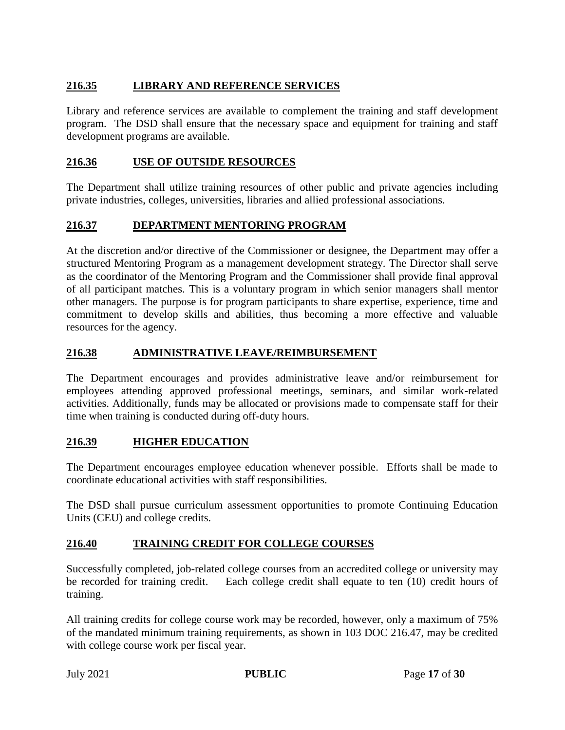# **216.35 LIBRARY AND REFERENCE SERVICES**

Library and reference services are available to complement the training and staff development program. The DSD shall ensure that the necessary space and equipment for training and staff development programs are available.

### **216.36 USE OF OUTSIDE RESOURCES**

The Department shall utilize training resources of other public and private agencies including private industries, colleges, universities, libraries and allied professional associations.

#### **216.37 DEPARTMENT MENTORING PROGRAM**

At the discretion and/or directive of the Commissioner or designee, the Department may offer a structured Mentoring Program as a management development strategy. The Director shall serve as the coordinator of the Mentoring Program and the Commissioner shall provide final approval of all participant matches. This is a voluntary program in which senior managers shall mentor other managers. The purpose is for program participants to share expertise, experience, time and commitment to develop skills and abilities, thus becoming a more effective and valuable resources for the agency.

#### **216.38 ADMINISTRATIVE LEAVE/REIMBURSEMENT**

The Department encourages and provides administrative leave and/or reimbursement for employees attending approved professional meetings, seminars, and similar work-related activities. Additionally, funds may be allocated or provisions made to compensate staff for their time when training is conducted during off-duty hours.

#### **216.39 HIGHER EDUCATION**

The Department encourages employee education whenever possible. Efforts shall be made to coordinate educational activities with staff responsibilities.

The DSD shall pursue curriculum assessment opportunities to promote Continuing Education Units (CEU) and college credits.

#### **216.40 TRAINING CREDIT FOR COLLEGE COURSES**

Successfully completed, job-related college courses from an accredited college or university may be recorded for training credit. Each college credit shall equate to ten (10) credit hours of training.

All training credits for college course work may be recorded, however, only a maximum of 75% of the mandated minimum training requirements, as shown in 103 DOC 216.47, may be credited with college course work per fiscal year.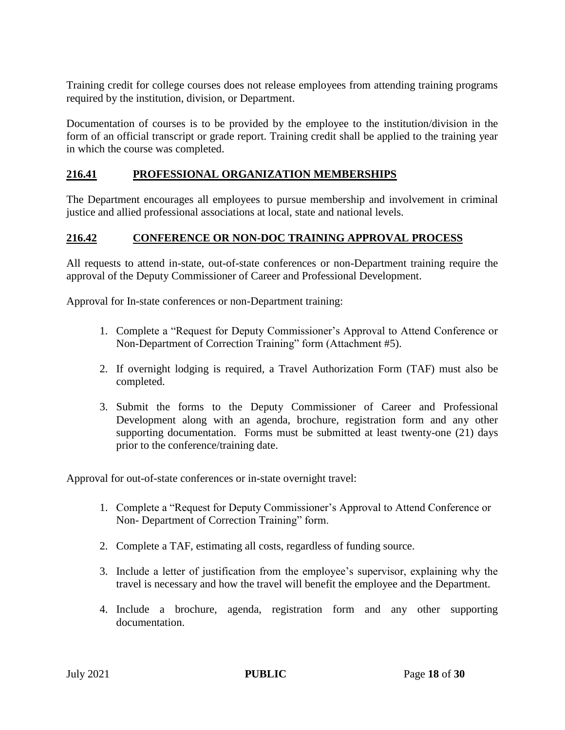Training credit for college courses does not release employees from attending training programs required by the institution, division, or Department.

Documentation of courses is to be provided by the employee to the institution/division in the form of an official transcript or grade report. Training credit shall be applied to the training year in which the course was completed.

#### **216.41 PROFESSIONAL ORGANIZATION MEMBERSHIPS**

The Department encourages all employees to pursue membership and involvement in criminal justice and allied professional associations at local, state and national levels.

#### **216.42 CONFERENCE OR NON-DOC TRAINING APPROVAL PROCESS**

All requests to attend in-state, out-of-state conferences or non-Department training require the approval of the Deputy Commissioner of Career and Professional Development.

Approval for In-state conferences or non-Department training:

- 1. Complete a "Request for Deputy Commissioner's Approval to Attend Conference or Non-Department of Correction Training" form (Attachment #5).
- 2. If overnight lodging is required, a Travel Authorization Form (TAF) must also be completed.
- 3. Submit the forms to the Deputy Commissioner of Career and Professional Development along with an agenda, brochure, registration form and any other supporting documentation. Forms must be submitted at least twenty-one (21) days prior to the conference/training date.

Approval for out-of-state conferences or in-state overnight travel:

- 1. Complete a "Request for Deputy Commissioner's Approval to Attend Conference or Non- Department of Correction Training" form.
- 2. Complete a TAF, estimating all costs, regardless of funding source.
- 3. Include a letter of justification from the employee's supervisor, explaining why the travel is necessary and how the travel will benefit the employee and the Department.
- 4. Include a brochure, agenda, registration form and any other supporting documentation.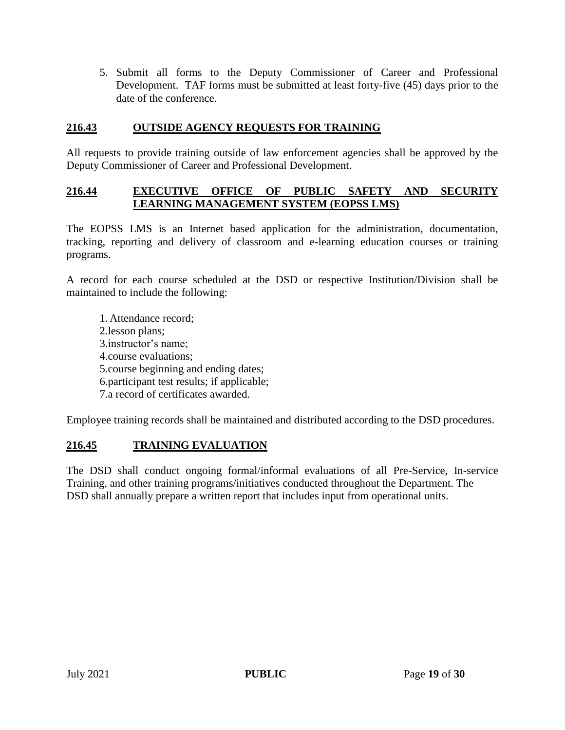5. Submit all forms to the Deputy Commissioner of Career and Professional Development. TAF forms must be submitted at least forty-five (45) days prior to the date of the conference.

#### **216.43 OUTSIDE AGENCY REQUESTS FOR TRAINING**

All requests to provide training outside of law enforcement agencies shall be approved by the Deputy Commissioner of Career and Professional Development.

#### **216.44 EXECUTIVE OFFICE OF PUBLIC SAFETY AND SECURITY LEARNING MANAGEMENT SYSTEM (EOPSS LMS)**

The EOPSS LMS is an Internet based application for the administration, documentation, tracking, reporting and delivery of classroom and e-learning education courses or training programs.

A record for each course scheduled at the DSD or respective Institution/Division shall be maintained to include the following:

1. Attendance record; 2.lesson plans; 3.instructor's name; 4.course evaluations; 5.course beginning and ending dates; 6.participant test results; if applicable; 7.a record of certificates awarded.

Employee training records shall be maintained and distributed according to the DSD procedures.

## **216.45 TRAINING EVALUATION**

The DSD shall conduct ongoing formal/informal evaluations of all Pre-Service, In-service Training, and other training programs/initiatives conducted throughout the Department. The DSD shall annually prepare a written report that includes input from operational units.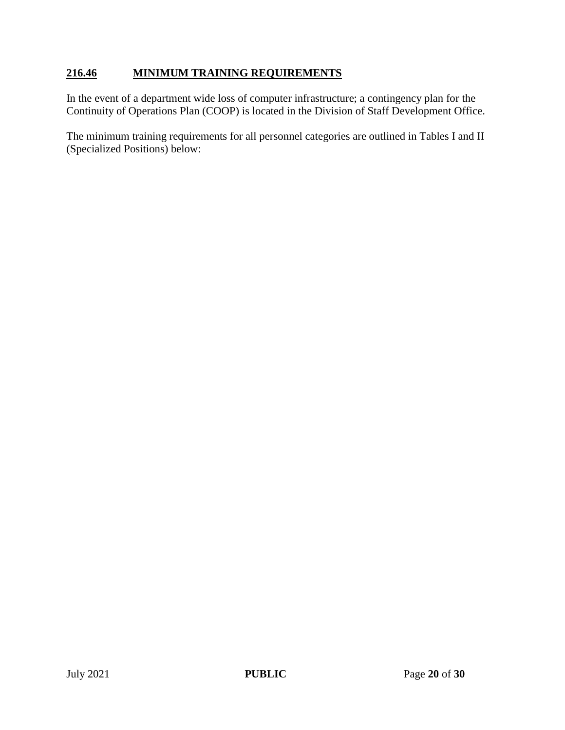### **216.46 MINIMUM TRAINING REQUIREMENTS**

In the event of a department wide loss of computer infrastructure; a contingency plan for the Continuity of Operations Plan (COOP) is located in the Division of Staff Development Office.

The minimum training requirements for all personnel categories are outlined in Tables I and II (Specialized Positions) below: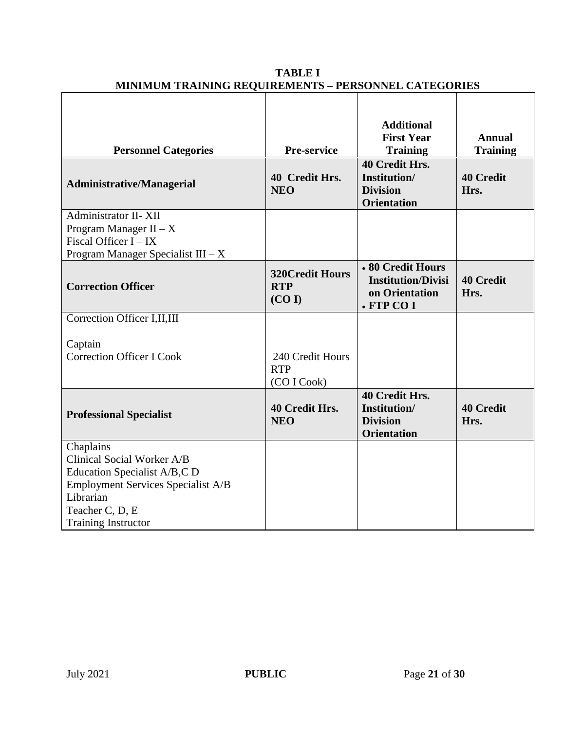| <b>Personnel Categories</b><br><b>Administrative/Managerial</b>                                                                                                                    | Pre-service<br>40 Credit Hrs.<br><b>NEO</b>    | <b>Additional</b><br><b>First Year</b><br><b>Training</b><br>40 Credit Hrs.<br>Institution/<br><b>Division</b><br><b>Orientation</b> | <b>Annual</b><br><b>Training</b><br><b>40 Credit</b><br>Hrs. |
|------------------------------------------------------------------------------------------------------------------------------------------------------------------------------------|------------------------------------------------|--------------------------------------------------------------------------------------------------------------------------------------|--------------------------------------------------------------|
| Administrator II-XII<br>Program Manager $II - X$<br>Fiscal Officer I - IX<br>Program Manager Specialist III $-X$                                                                   |                                                |                                                                                                                                      |                                                              |
| <b>Correction Officer</b>                                                                                                                                                          | <b>320Credit Hours</b><br><b>RTP</b><br>(CO I) | • 80 Credit Hours<br><b>Institution/Divisi</b><br>on Orientation<br>· FTP CO I                                                       | <b>40 Credit</b><br>Hrs.                                     |
| Correction Officer I, II, III<br>Captain<br><b>Correction Officer I Cook</b>                                                                                                       | 240 Credit Hours<br><b>RTP</b><br>(CO I Cook)  |                                                                                                                                      |                                                              |
| <b>Professional Specialist</b>                                                                                                                                                     | 40 Credit Hrs.<br><b>NEO</b>                   | 40 Credit Hrs.<br>Institution/<br><b>Division</b><br><b>Orientation</b>                                                              | <b>40 Credit</b><br>Hrs.                                     |
| Chaplains<br>Clinical Social Worker A/B<br>Education Specialist A/B,C D<br><b>Employment Services Specialist A/B</b><br>Librarian<br>Teacher C, D, E<br><b>Training Instructor</b> |                                                |                                                                                                                                      |                                                              |

## **TABLE I MINIMUM TRAINING REQUIREMENTS – PERSONNEL CATEGORIES**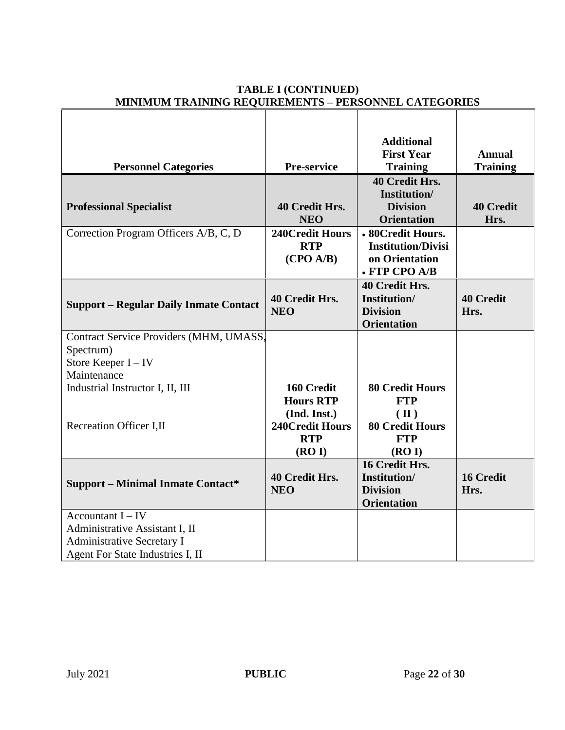|                                               |                        | <b>Additional</b><br><b>First Year</b> | <b>Annual</b>    |
|-----------------------------------------------|------------------------|----------------------------------------|------------------|
|                                               | Pre-service            | <b>Training</b>                        | <b>Training</b>  |
| <b>Personnel Categories</b>                   |                        |                                        |                  |
|                                               |                        | 40 Credit Hrs.<br>Institution/         |                  |
|                                               | 40 Credit Hrs.         | <b>Division</b>                        | <b>40 Credit</b> |
| <b>Professional Specialist</b>                | <b>NEO</b>             | <b>Orientation</b>                     | Hrs.             |
|                                               | <b>240Credit Hours</b> | • 80Credit Hours.                      |                  |
| Correction Program Officers A/B, C, D         | <b>RTP</b>             | <b>Institution/Divisi</b>              |                  |
|                                               | (CPO A/B)              | on Orientation                         |                  |
|                                               |                        | • FTP CPO A/B                          |                  |
|                                               |                        | 40 Credit Hrs.                         |                  |
|                                               | 40 Credit Hrs.         | Institution/                           | <b>40 Credit</b> |
| <b>Support – Regular Daily Inmate Contact</b> | <b>NEO</b>             | <b>Division</b>                        | Hrs.             |
|                                               |                        | <b>Orientation</b>                     |                  |
| Contract Service Providers (MHM, UMASS,       |                        |                                        |                  |
| Spectrum)                                     |                        |                                        |                  |
| Store Keeper I - IV                           |                        |                                        |                  |
| Maintenance                                   |                        |                                        |                  |
| Industrial Instructor I, II, III              | 160 Credit             | <b>80 Credit Hours</b>                 |                  |
|                                               | <b>Hours RTP</b>       | <b>FTP</b>                             |                  |
|                                               | (Ind. Inst.)           | $(\mathbf{I})$                         |                  |
| Recreation Officer I,II                       | <b>240Credit Hours</b> | <b>80 Credit Hours</b>                 |                  |
|                                               | <b>RTP</b>             | <b>FTP</b>                             |                  |
|                                               | (ROI)                  | (ROI)                                  |                  |
|                                               |                        | 16 Credit Hrs.                         |                  |
| <b>Support – Minimal Inmate Contact*</b>      | <b>40 Credit Hrs.</b>  | Institution/                           | <b>16 Credit</b> |
|                                               | <b>NEO</b>             | <b>Division</b>                        | Hrs.             |
|                                               |                        | <b>Orientation</b>                     |                  |
| Accountant $I – IV$                           |                        |                                        |                  |
| Administrative Assistant I, II                |                        |                                        |                  |
| <b>Administrative Secretary I</b>             |                        |                                        |                  |
| Agent For State Industries I, II              |                        |                                        |                  |

#### **TABLE I (CONTINUED) MINIMUM TRAINING REQUIREMENTS – PERSONNEL CATEGORIES**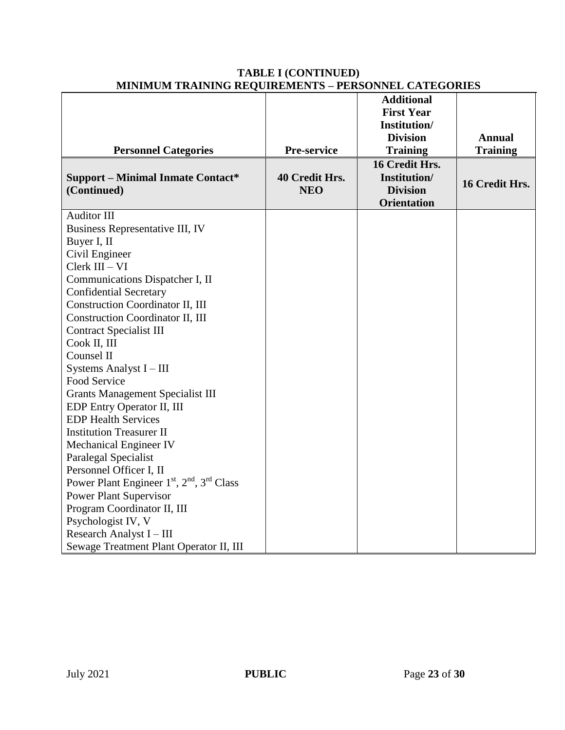| мимпом тамино апропадните                                         |                | 1 BRD OF WHEN CATEGO ORIEN |                 |
|-------------------------------------------------------------------|----------------|----------------------------|-----------------|
|                                                                   |                | <b>Additional</b>          |                 |
|                                                                   |                | <b>First Year</b>          |                 |
|                                                                   |                | Institution/               |                 |
|                                                                   |                | <b>Division</b>            | <b>Annual</b>   |
| <b>Personnel Categories</b>                                       | Pre-service    | <b>Training</b>            | <b>Training</b> |
|                                                                   |                | 16 Credit Hrs.             |                 |
| <b>Support - Minimal Inmate Contact*</b>                          | 40 Credit Hrs. | <b>Institution/</b>        | 16 Credit Hrs.  |
| (Continued)                                                       | <b>NEO</b>     | <b>Division</b>            |                 |
|                                                                   |                | <b>Orientation</b>         |                 |
| <b>Auditor III</b>                                                |                |                            |                 |
| Business Representative III, IV                                   |                |                            |                 |
| Buyer I, II                                                       |                |                            |                 |
| Civil Engineer                                                    |                |                            |                 |
| Clerk III - VI                                                    |                |                            |                 |
| Communications Dispatcher I, II                                   |                |                            |                 |
| <b>Confidential Secretary</b>                                     |                |                            |                 |
| <b>Construction Coordinator II, III</b>                           |                |                            |                 |
| <b>Construction Coordinator II, III</b>                           |                |                            |                 |
| <b>Contract Specialist III</b>                                    |                |                            |                 |
| Cook II, III                                                      |                |                            |                 |
| Counsel II                                                        |                |                            |                 |
| Systems Analyst I - III                                           |                |                            |                 |
| Food Service                                                      |                |                            |                 |
| <b>Grants Management Specialist III</b>                           |                |                            |                 |
| EDP Entry Operator II, III                                        |                |                            |                 |
| <b>EDP Health Services</b>                                        |                |                            |                 |
| <b>Institution Treasurer II</b>                                   |                |                            |                 |
| Mechanical Engineer IV                                            |                |                            |                 |
| <b>Paralegal Specialist</b>                                       |                |                            |                 |
| Personnel Officer I, II                                           |                |                            |                 |
| Power Plant Engineer 1st, 2 <sup>nd</sup> , 3 <sup>rd</sup> Class |                |                            |                 |
| <b>Power Plant Supervisor</b>                                     |                |                            |                 |
| Program Coordinator II, III                                       |                |                            |                 |
| Psychologist IV, V                                                |                |                            |                 |
| Research Analyst I - III                                          |                |                            |                 |
| Sewage Treatment Plant Operator II, III                           |                |                            |                 |

#### **TABLE I (CONTINUED) MINIMUM TRAINING REQUIREMENTS – PERSONNEL CATEGORIES**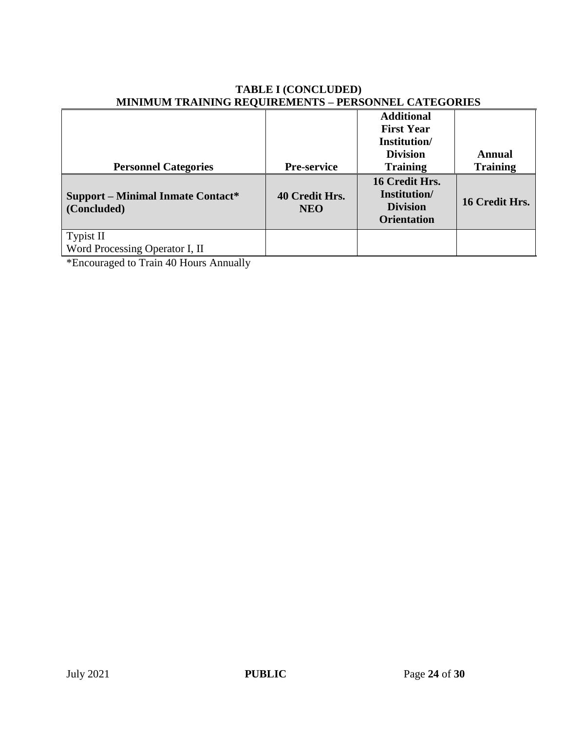|                                                         | $\cdots$                     | <b>Additional</b><br><b>First Year</b><br>Institution/<br><b>Division</b> | Annual          |
|---------------------------------------------------------|------------------------------|---------------------------------------------------------------------------|-----------------|
| <b>Personnel Categories</b>                             | <b>Pre-service</b>           | <b>Training</b>                                                           | <b>Training</b> |
| <b>Support – Minimal Inmate Contact*</b><br>(Concluded) | 40 Credit Hrs.<br><b>NEO</b> | 16 Credit Hrs.<br>Institution/<br><b>Division</b><br><b>Orientation</b>   | 16 Credit Hrs.  |
| <b>Typist II</b><br>Word Processing Operator I, II      |                              |                                                                           |                 |

#### **TABLE I (CONCLUDED) MINIMUM TRAINING REQUIREMENTS – PERSONNEL CATEGORIES**

\*Encouraged to Train 40 Hours Annually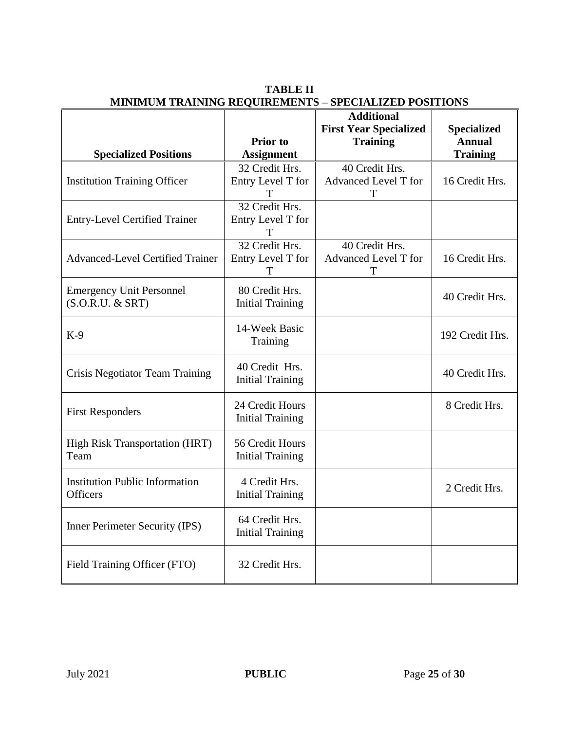|                                         |                         | <b>Additional</b>             |                    |
|-----------------------------------------|-------------------------|-------------------------------|--------------------|
|                                         |                         | <b>First Year Specialized</b> | <b>Specialized</b> |
|                                         | <b>Prior</b> to         | <b>Training</b>               | <b>Annual</b>      |
| <b>Specialized Positions</b>            | <b>Assignment</b>       |                               | <b>Training</b>    |
|                                         | 32 Credit Hrs.          | 40 Credit Hrs.                |                    |
| <b>Institution Training Officer</b>     | Entry Level T for       | Advanced Level T for          | 16 Credit Hrs.     |
|                                         |                         | Т                             |                    |
|                                         | 32 Credit Hrs.          |                               |                    |
| <b>Entry-Level Certified Trainer</b>    | Entry Level T for       |                               |                    |
|                                         | Т<br>32 Credit Hrs.     | 40 Credit Hrs.                |                    |
| <b>Advanced-Level Certified Trainer</b> | Entry Level T for       | Advanced Level T for          | 16 Credit Hrs.     |
|                                         | T                       | Т                             |                    |
|                                         |                         |                               |                    |
| <b>Emergency Unit Personnel</b>         | 80 Credit Hrs.          |                               | 40 Credit Hrs.     |
| $(S.O.R.U. \& SRT)$                     | <b>Initial Training</b> |                               |                    |
|                                         | 14-Week Basic           |                               |                    |
| $K-9$                                   | Training                |                               | 192 Credit Hrs.    |
|                                         |                         |                               |                    |
|                                         | 40 Credit Hrs.          |                               |                    |
| Crisis Negotiator Team Training         | <b>Initial Training</b> |                               | 40 Credit Hrs.     |
|                                         |                         |                               |                    |
|                                         | 24 Credit Hours         |                               | 8 Credit Hrs.      |
| <b>First Responders</b>                 | <b>Initial Training</b> |                               |                    |
|                                         |                         |                               |                    |
| <b>High Risk Transportation (HRT)</b>   | 56 Credit Hours         |                               |                    |
| Team                                    | <b>Initial Training</b> |                               |                    |
| <b>Institution Public Information</b>   | 4 Credit Hrs.           |                               |                    |
| <b>Officers</b>                         | <b>Initial Training</b> |                               | 2 Credit Hrs.      |
|                                         |                         |                               |                    |
|                                         | 64 Credit Hrs.          |                               |                    |
| Inner Perimeter Security (IPS)          | <b>Initial Training</b> |                               |                    |
|                                         |                         |                               |                    |
| Field Training Officer (FTO)            | 32 Credit Hrs.          |                               |                    |
|                                         |                         |                               |                    |
|                                         |                         |                               |                    |

**TABLE II MINIMUM TRAINING REQUIREMENTS – SPECIALIZED POSITIONS**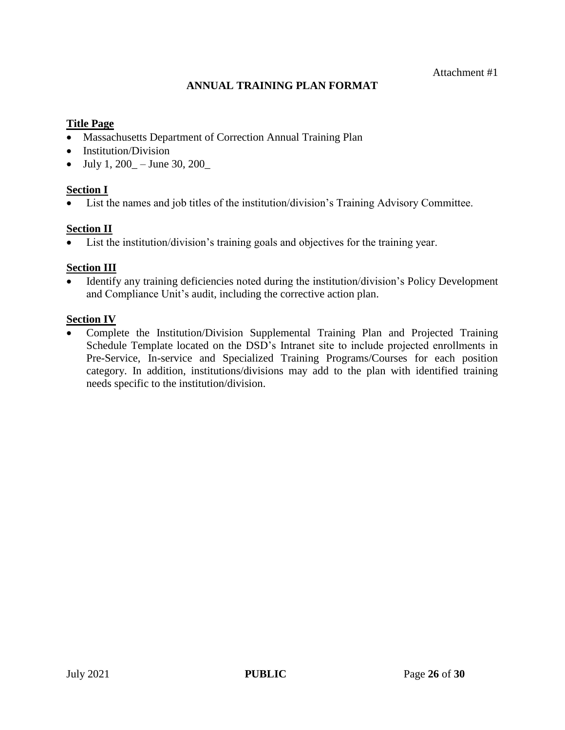## **ANNUAL TRAINING PLAN FORMAT**

#### **Title Page**

- Massachusetts Department of Correction Annual Training Plan
- Institution/Division
- $\bullet$  July 1, 200 June 30, 200

#### **Section I**

List the names and job titles of the institution/division's Training Advisory Committee.

#### **Section II**

List the institution/division's training goals and objectives for the training year.

## **Section III**

 Identify any training deficiencies noted during the institution/division's Policy Development and Compliance Unit's audit, including the corrective action plan.

#### **Section IV**

 Complete the Institution/Division Supplemental Training Plan and Projected Training Schedule Template located on the DSD's Intranet site to include projected enrollments in Pre-Service, In-service and Specialized Training Programs/Courses for each position category. In addition, institutions/divisions may add to the plan with identified training needs specific to the institution/division.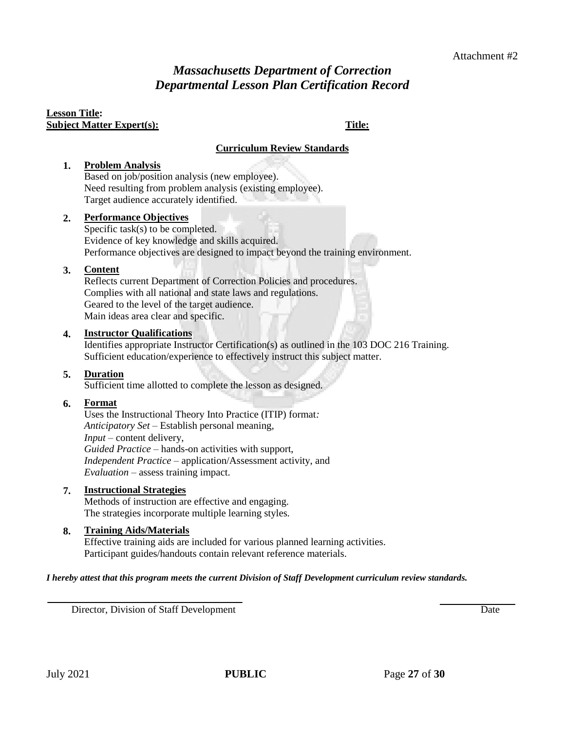# *Massachusetts Department of Correction Departmental Lesson Plan Certification Record*

#### **Lesson Title: Subject Matter Expert(s): Title:**

#### **Curriculum Review Standards**

#### **1. Problem Analysis**

Based on job/position analysis (new employee). Need resulting from problem analysis (existing employee). Target audience accurately identified.

#### **2. Performance Objectives**

Specific task(s) to be completed. Evidence of key knowledge and skills acquired. Performance objectives are designed to impact beyond the training environment.

#### **3. Content**

Reflects current Department of Correction Policies and procedures. Complies with all national and state laws and regulations. Geared to the level of the target audience. Main ideas area clear and specific.

#### **4. Instructor Qualifications**

Identifies appropriate Instructor Certification(s) as outlined in the 103 DOC 216 Training. Sufficient education/experience to effectively instruct this subject matter.

#### **5. Duration**

Sufficient time allotted to complete the lesson as designed.

#### **6. Format**

Uses the Instructional Theory Into Practice (ITIP) format*: Anticipatory Set* – Establish personal meaning*, Input* – content delivery, *Guided Practice* – hands-on activities with support, *Independent Practice* – application/Assessment activity, and *Evaluation* – assess training impact*.*

#### **7. Instructional Strategies**

Methods of instruction are effective and engaging. The strategies incorporate multiple learning styles*.*

#### **8. Training Aids/Materials**

Effective training aids are included for various planned learning activities. Participant guides/handouts contain relevant reference materials.

#### *I hereby attest that this program meets the current Division of Staff Development curriculum review standards.*

Director, Division of Staff Development **Date Development Date**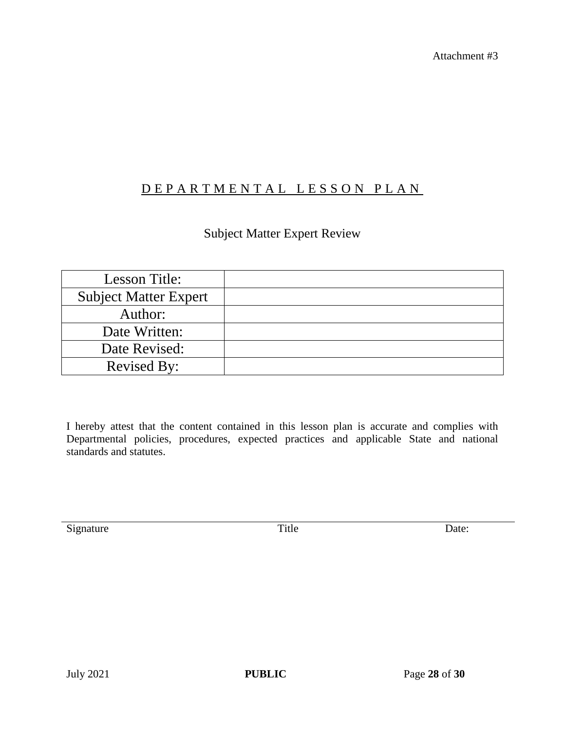Attachment #3

# D E P A R T M E N T A L L E S S O N P L A N

# Subject Matter Expert Review

| Lesson Title:                |  |
|------------------------------|--|
| <b>Subject Matter Expert</b> |  |
| Author:                      |  |
| Date Written:                |  |
| Date Revised:                |  |
| <b>Revised By:</b>           |  |

I hereby attest that the content contained in this lesson plan is accurate and complies with Departmental policies, procedures, expected practices and applicable State and national standards and statutes.

Signature Date: Title Date: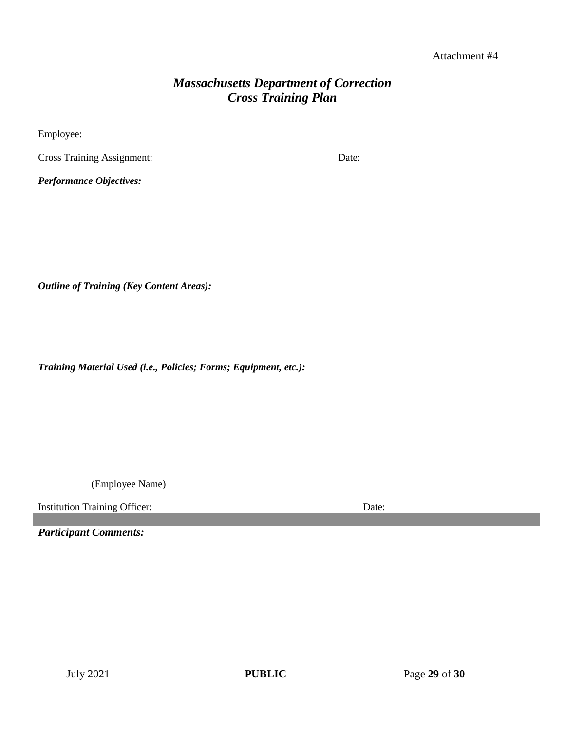#### Attachment #4

# *Massachusetts Department of Correction Cross Training Plan*

Employee:

Cross Training Assignment: Date:

*Performance Objectives:*

*Outline of Training (Key Content Areas):*

*Training Material Used (i.e., Policies; Forms; Equipment, etc.):*

(Employee Name)

Institution Training Officer: Date:

*Participant Comments:*